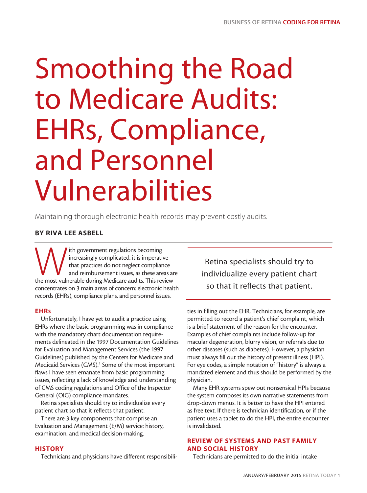# Smoothing the Road to Medicare Audits: EHRs, Compliance, and Personnel Vulnerabilities

Maintaining thorough electronic health records may prevent costly audits.

# BY RIVA LEE ASBELL

Ith government regulations becoming<br>
increasingly complicated, it is imperative<br>
that practices do not neglect compliance<br>
and reimbursement issues, as these areas are<br>
the most vulnerable during Medicare audits. This revi increasingly complicated, it is imperative that practices do not neglect compliance and reimbursement issues, as these areas are concentrates on 3 main areas of concern: electronic health records (EHRs), compliance plans, and personnel issues.

# EHRs

Unfortunately, I have yet to audit a practice using EHRs where the basic programming was in compliance with the mandatory chart documentation requirements delineated in the 1997 Documentation Guidelines for Evaluation and Management Services (the 1997 Guidelines) published by the Centers for Medicare and Medicaid Services (CMS).<sup>1</sup> Some of the most important flaws I have seen emanate from basic programming issues, reflecting a lack of knowledge and understanding of CMS coding regulations and Office of the Inspector General (OIG) compliance mandates.

Retina specialists should try to individualize every patient chart so that it reflects that patient.

There are 3 key components that comprise an Evaluation and Management (E/M) service: history, examination, and medical decision-making.

## **HISTORY**

Technicians and physicians have different responsibili-

Retina specialists should try to individualize every patient chart so that it reflects that patient.

ties in filling out the EHR. Technicians, for example, are permitted to record a patient's chief complaint, which is a brief statement of the reason for the encounter. Examples of chief complaints include follow-up for macular degeneration, blurry vision, or referrals due to other diseases (such as diabetes). However, a physician must always fill out the history of present illness (HPI). For eye codes, a simple notation of "history" is always a mandated element and thus should be performed by the physician.

Many EHR systems spew out nonsensical HPIs because the system composes its own narrative statements from drop-down menus. It is better to have the HPI entered as free text. If there is technician identification, or if the patient uses a tablet to do the HPI, the entire encounter is invalidated.

## REVIEW OF SYSTEMS AND PAST FAMILY AND SOCIAL HISTORY

Technicians are permitted to do the initial intake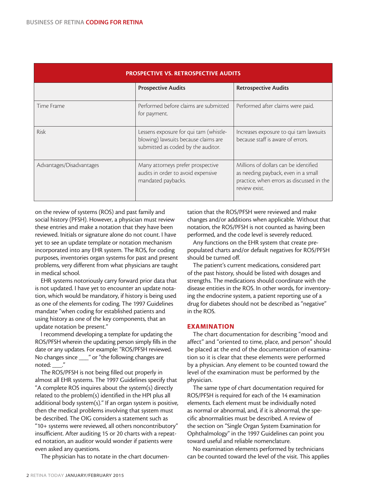| <b>PROSPECTIVE VS. RETROSPECTIVE AUDITS</b> |                                                                                                                      |                                                                                                                                            |
|---------------------------------------------|----------------------------------------------------------------------------------------------------------------------|--------------------------------------------------------------------------------------------------------------------------------------------|
|                                             | <b>Prospective Audits</b>                                                                                            | <b>Retrospective Audits</b>                                                                                                                |
| Time Frame                                  | Performed before claims are submitted<br>for payment.                                                                | Performed after claims were paid.                                                                                                          |
| <b>Risk</b>                                 | Lessens exposure for qui tam (whistle-<br>blowing) lawsuits because claims are<br>submitted as coded by the auditor. | Increases exposure to qui tam lawsuits<br>because staff is aware of errors.                                                                |
| Advantages/Disadvantages                    | Many attorneys prefer prospective<br>audits in order to avoid expensive<br>mandated paybacks.                        | Millions of dollars can be identified<br>as needing payback, even in a small<br>practice, when errors as discussed in the<br>review exist. |

on the review of systems (ROS) and past family and social history (PFSH). However, a physician must review these entries and make a notation that they have been reviewed. Initials or signature alone do not count. I have yet to see an update template or notation mechanism incorporated into any EHR system. The ROS, for coding purposes, inventories organ systems for past and present problems, very different from what physicians are taught in medical school.

EHR systems notoriously carry forward prior data that is not updated. I have yet to encounter an update notation, which would be mandatory, if history is being used as one of the elements for coding. The 1997 Guidelines mandate "when coding for established patients and using history as one of the key components, that an update notation be present."

I recommend developing a template for updating the ROS/PFSH wherein the updating person simply fills in the date or any updates. For example: "ROS/PFSH reviewed. No changes since \_\_\_" or "the following changes are noted: ."

The ROS/PFSH is not being filled out properly in almost all EHR systems. The 1997 Guidelines specify that "A complete ROS inquires about the system(s) directly related to the problem(s) identified in the HPI plus all additional body system(s)." If an organ system is positive, then the medical problems involving that system must be described. The OIG considers a statement such as "10+ systems were reviewed, all others noncontributory" insufficient. After auditing 15 or 20 charts with a repeated notation, an auditor would wonder if patients were even asked any questions.

The physician has to notate in the chart documen-

tation that the ROS/PFSH were reviewed and make changes and/or additions when applicable. Without that notation, the ROS/PFSH is not counted as having been performed, and the code level is severely reduced.

Any functions on the EHR system that create prepopulated charts and/or default negatives for ROS/PFSH should be turned off.

The patient's current medications, considered part of the past history, should be listed with dosages and strengths. The medications should coordinate with the disease entities in the ROS. In other words, for inventorying the endocrine system, a patient reporting use of a drug for diabetes should not be described as "negative" in the ROS.

## EXAMINATION

The chart documentation for describing "mood and affect" and "oriented to time, place, and person" should be placed at the end of the documentation of examination so it is clear that these elements were performed by a physician. Any element to be counted toward the level of the examination must be performed by the physician.

The same type of chart documentation required for ROS/PFSH is required for each of the 14 examination elements. Each element must be individually noted as normal or abnormal, and, if it is abnormal, the specific abnormalities must be described. A review of the section on "Single Organ System Examination for Ophthalmology" in the 1997 Guidelines can point you toward useful and reliable nomenclature.

No examination elements performed by technicians can be counted toward the level of the visit. This applies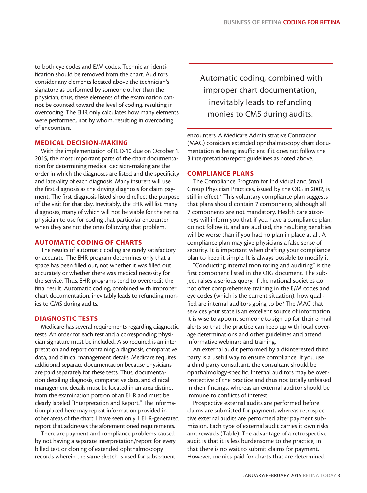to both eye codes and E/M codes. Technician identification should be removed from the chart. Auditors consider any elements located above the technician's signature as performed by someone other than the physician; thus, these elements of the examination cannot be counted toward the level of coding, resulting in overcoding. The EHR only calculates how many elements were performed, not by whom, resulting in overcoding of encounters.

#### MEDICAL DECISION-MAKING

With the implementation of ICD-10 due on October 1, 2015, the most important parts of the chart documentation for determining medical decision-making are the order in which the diagnoses are listed and the specificity and laterality of each diagnosis. Many insurers will use the first diagnosis as the driving diagnosis for claim payment. The first diagnosis listed should reflect the purpose of the visit for that day. Inevitably, the EHR will list many diagnoses, many of which will not be viable for the retina physician to use for coding that particular encounter when they are not the ones following that problem.

#### AUTOMATIC CODING OF CHARTS

The results of automatic coding are rarely satisfactory or accurate. The EHR program determines only that a space has been filled out, not whether it was filled out accurately or whether there was medical necessity for the service. Thus, EHR programs tend to overcredit the final result. Automatic coding, combined with improper chart documentation, inevitably leads to refunding monies to CMS during audits.

#### DIAGNOSTIC TESTS

Medicare has several requirements regarding diagnostic tests. An order for each test and a corresponding physician signature must be included. Also required is an interpretation and report containing a diagnosis, comparative data, and clinical management details. Medicare requires additional separate documentation because physicians are paid separately for these tests. Thus, documentation detailing diagnosis, comparative data, and clinical management details must be located in an area distinct from the examination portion of an EHR and must be clearly labeled "Interpretation and Report." The information placed here may repeat information provided in other areas of the chart. I have seen only 1 EHR-generated report that addresses the aforementioned requirements.

There are payment and compliance problems caused by not having a separate interpretation/report for every billed test or cloning of extended ophthalmoscopy records wherein the same sketch is used for subsequent

 Automatic coding, combined with improper chart documentation, inevitably leads to refunding monies to CMS during audits.

encounters. A Medicare Administrative Contractor (MAC) considers extended ophthalmoscopy chart documentation as being insufficient if it does not follow the 3 interpretation/report guidelines as noted above.

#### COMPLIANCE PLANS

The Compliance Program for Individual and Small Group Physician Practices, issued by the OIG in 2002, is still in effect.<sup>2</sup> This voluntary compliance plan suggests that plans should contain 7 components, although all 7 components are not mandatory. Health care attorneys will inform you that if you have a compliance plan, do not follow it, and are audited, the resulting penalties will be worse than if you had no plan in place at all. A compliance plan may give physicians a false sense of security. It is important when drafting your compliance plan to keep it simple. It is always possible to modify it.

"Conducting internal monitoring and auditing" is the first component listed in the OIG document. The subject raises a serious query: If the national societies do not offer comprehensive training in the E/M codes and eye codes (which is the current situation), how qualified are internal auditors going to be? The MAC that services your state is an excellent source of information. It is wise to appoint someone to sign up for their e-mail alerts so that the practice can keep up with local coverage determinations and other guidelines and attend informative webinars and training.

An external audit performed by a disinterested third party is a useful way to ensure compliance. If you use a third party consultant, the consultant should be ophthalmology-specific. Internal auditors may be overprotective of the practice and thus not totally unbiased in their findings, whereas an external auditor should be immune to conflicts of interest.

Prospective external audits are performed before claims are submitted for payment, whereas retrospective external audits are performed after payment submission. Each type of external audit carries it own risks and rewards (Table). The advantage of a retrospective audit is that it is less burdensome to the practice, in that there is no wait to submit claims for payment. However, monies paid for charts that are determined